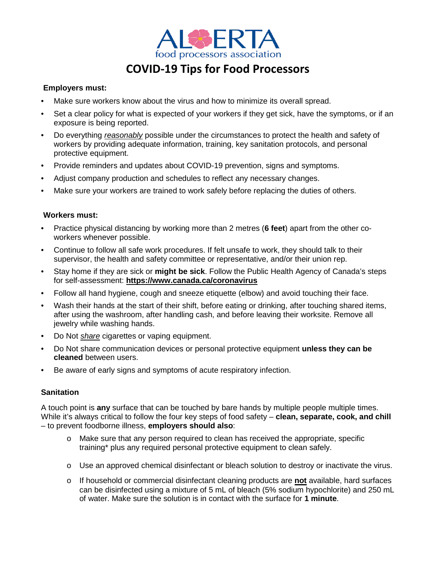

# **COVID-19 Tips for Food Processors**

## **Employers must:**

- Make sure workers know about the virus and how to minimize its overall spread.
- Set a clear policy for what is expected of your workers if they get sick, have the symptoms, or if an exposure is being reported.
- Do everything *reasonably* possible under the circumstances to protect the health and safety of workers by providing adequate information, training, key sanitation protocols, and personal protective equipment.
- Provide reminders and updates about COVID-19 prevention, signs and symptoms.
- Adjust company production and schedules to reflect any necessary changes.
- Make sure your workers are trained to work safely before replacing the duties of others.

## **Workers must:**

- Practice physical distancing by working more than 2 metres (**6 feet**) apart from the other coworkers whenever possible.
- Continue to follow all safe work procedures. If felt unsafe to work, they should talk to their supervisor, the health and safety committee or representative, and/or their union rep.
- Stay home if they are sick or **might be sick**. Follow the Public Health Agency of Canada's steps for self-assessment: **https://www.canada.ca/coronavirus**
- Follow all hand hygiene, cough and sneeze etiquette (elbow) and avoid touching their face.
- Wash their hands at the start of their shift, before eating or drinking, after touching shared items, after using the washroom, after handling cash, and before leaving their worksite. Remove all jewelry while washing hands.
- Do Not *share* cigarettes or vaping equipment.
- Do Not share communication devices or personal protective equipment **unless they can be cleaned** between users.
- Be aware of early signs and symptoms of acute respiratory infection.

## **Sanitation**

A touch point is **any** surface that can be touched by bare hands by multiple people multiple times. While it's always critical to follow the four key steps of food safety – **clean, separate, cook, and chill** – to prevent foodborne illness, **employers should also**:

- o Make sure that any person required to clean has received the appropriate, specific training\* plus any required personal protective equipment to clean safely.
- o Use an approved chemical disinfectant or bleach solution to destroy or inactivate the virus.
- o If household or commercial disinfectant cleaning products are **not** available, hard surfaces can be disinfected using a mixture of 5 mL of bleach (5% sodium hypochlorite) and 250 mL of water. Make sure the solution is in contact with the surface for **1 minute**.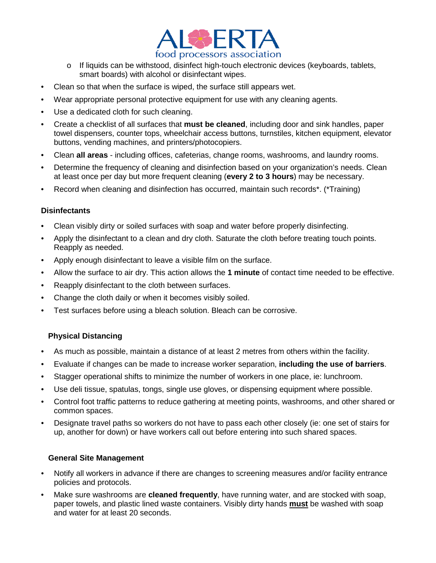

- o If liquids can be withstood, disinfect high-touch electronic devices (keyboards, tablets, smart boards) with alcohol or disinfectant wipes.
- Clean so that when the surface is wiped, the surface still appears wet.
- Wear appropriate personal protective equipment for use with any cleaning agents.
- Use a dedicated cloth for such cleaning.
- Create a checklist of all surfaces that **must be cleaned**, including door and sink handles, paper towel dispensers, counter tops, wheelchair access buttons, turnstiles, kitchen equipment, elevator buttons, vending machines, and printers/photocopiers.
- Clean **all areas** including offices, cafeterias, change rooms, washrooms, and laundry rooms.
- Determine the frequency of cleaning and disinfection based on your organization's needs. Clean at least once per day but more frequent cleaning (**every 2 to 3 hours**) may be necessary.
- Record when cleaning and disinfection has occurred, maintain such records\*. (\*Training)

### **Disinfectants**

- Clean visibly dirty or soiled surfaces with soap and water before properly disinfecting.
- Apply the disinfectant to a clean and dry cloth. Saturate the cloth before treating touch points. Reapply as needed.
- Apply enough disinfectant to leave a visible film on the surface.
- Allow the surface to air dry. This action allows the **1 minute** of contact time needed to be effective.
- Reapply disinfectant to the cloth between surfaces.
- Change the cloth daily or when it becomes visibly soiled.
- Test surfaces before using a bleach solution. Bleach can be corrosive.

## **Physical Distancing**

- As much as possible, maintain a distance of at least 2 metres from others within the facility.
- Evaluate if changes can be made to increase worker separation, **including the use of barriers**.
- Stagger operational shifts to minimize the number of workers in one place, ie: lunchroom.
- Use deli tissue, spatulas, tongs, single use gloves, or dispensing equipment where possible.
- Control foot traffic patterns to reduce gathering at meeting points, washrooms, and other shared or common spaces.
- Designate travel paths so workers do not have to pass each other closely (ie: one set of stairs for up, another for down) or have workers call out before entering into such shared spaces.

#### **General Site Management**

- Notify all workers in advance if there are changes to screening measures and/or facility entrance policies and protocols.
- Make sure washrooms are **cleaned frequently**, have running water, and are stocked with soap, paper towels, and plastic lined waste containers. Visibly dirty hands **must** be washed with soap and water for at least 20 seconds.